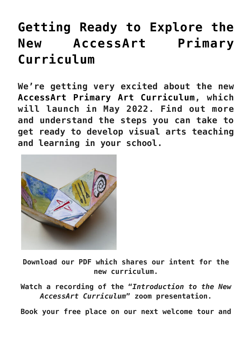## **[Getting Ready to Explore the](https://www.accessart.org.uk/getting-ready-to-explore-the-new-accessart-primary-curriculum/) [New AccessArt Primary](https://www.accessart.org.uk/getting-ready-to-explore-the-new-accessart-primary-curriculum/) [Curriculum](https://www.accessart.org.uk/getting-ready-to-explore-the-new-accessart-primary-curriculum/)**

**We're getting very excited about the new [AccessArt Primary Art Curriculum,](https://www.accessart.org.uk/primary-art-curriculum/) which will launch in May 2022. Find out more and understand the steps you can take to get ready to develop visual arts teaching and learning in your school.**



**Download our PDF which shares our intent for the new curriculum.**

**Watch a recording of the "***Introduction to the New AccessArt Curriculum***" zoom presentation.**

**Book your free place on our next welcome tour and**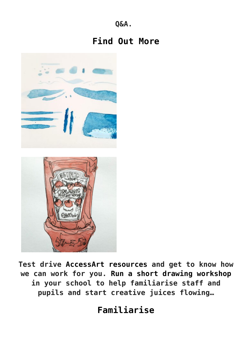**Q&A.** 

## **[Find Out More](https://www.accessart.org.uk/primary-art-curriculum/)**





**Test drive [AccessArt resources](https://www.accessart.org.uk/find-a-resource/) and get to know how we can work for you. [Run a short drawing workshop](https://www.accessart.org.uk/the-new-accessart-primary-art-curriculum-2022/) in your school to help familiarise staff and pupils and start creative juices flowing…**

**[Familiarise](https://www.accessart.org.uk/6-week-introduction-to-drawing/)**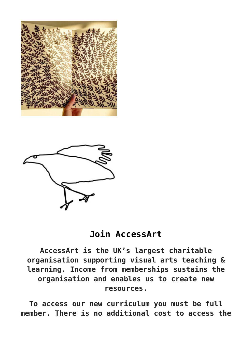



## **[Join AccessArt](https://www.accessart.org.uk/6-week-introduction-to-drawing/)**

**AccessArt is the UK's largest charitable organisation supporting visual arts teaching & learning. Income from memberships sustains the organisation and enables us to create new resources.**

**To access our new curriculum you must be full member. There is no additional cost to access the**